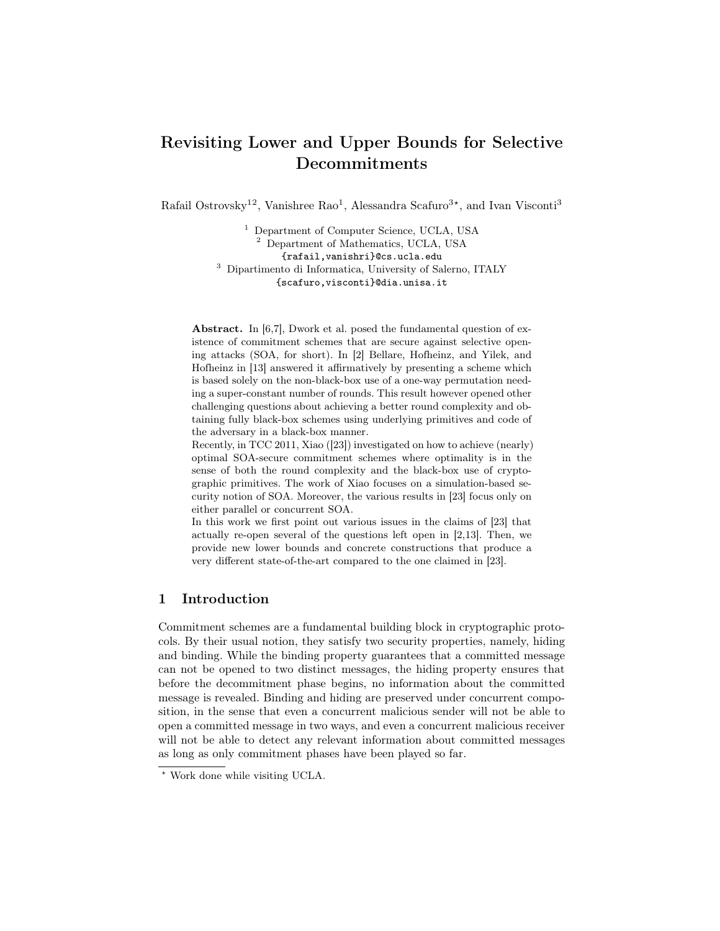# Revisiting Lower and Upper Bounds for Selective Decommitments

Rafail Ostrovsky<sup>12</sup>, Vanishree Rao<sup>1</sup>, Alessandra Scafuro<sup>3\*</sup>, and Ivan Visconti<sup>3</sup>

<sup>1</sup> Department of Computer Science, UCLA, USA <sup>2</sup> Department of Mathematics, UCLA, USA {rafail,vanishri}@cs.ucla.edu <sup>3</sup> Dipartimento di Informatica, University of Salerno, ITALY {scafuro,visconti}@dia.unisa.it

Abstract. In [6,7], Dwork et al. posed the fundamental question of existence of commitment schemes that are secure against selective opening attacks (SOA, for short). In [2] Bellare, Hofheinz, and Yilek, and Hofheinz in [13] answered it affirmatively by presenting a scheme which is based solely on the non-black-box use of a one-way permutation needing a super-constant number of rounds. This result however opened other challenging questions about achieving a better round complexity and obtaining fully black-box schemes using underlying primitives and code of the adversary in a black-box manner.

Recently, in TCC 2011, Xiao ([23]) investigated on how to achieve (nearly) optimal SOA-secure commitment schemes where optimality is in the sense of both the round complexity and the black-box use of cryptographic primitives. The work of Xiao focuses on a simulation-based security notion of SOA. Moreover, the various results in [23] focus only on either parallel or concurrent SOA.

In this work we first point out various issues in the claims of [23] that actually re-open several of the questions left open in [2,13]. Then, we provide new lower bounds and concrete constructions that produce a very different state-of-the-art compared to the one claimed in [23].

# 1 Introduction

Commitment schemes are a fundamental building block in cryptographic protocols. By their usual notion, they satisfy two security properties, namely, hiding and binding. While the binding property guarantees that a committed message can not be opened to two distinct messages, the hiding property ensures that before the decommitment phase begins, no information about the committed message is revealed. Binding and hiding are preserved under concurrent composition, in the sense that even a concurrent malicious sender will not be able to open a committed message in two ways, and even a concurrent malicious receiver will not be able to detect any relevant information about committed messages as long as only commitment phases have been played so far.

<sup>?</sup> Work done while visiting UCLA.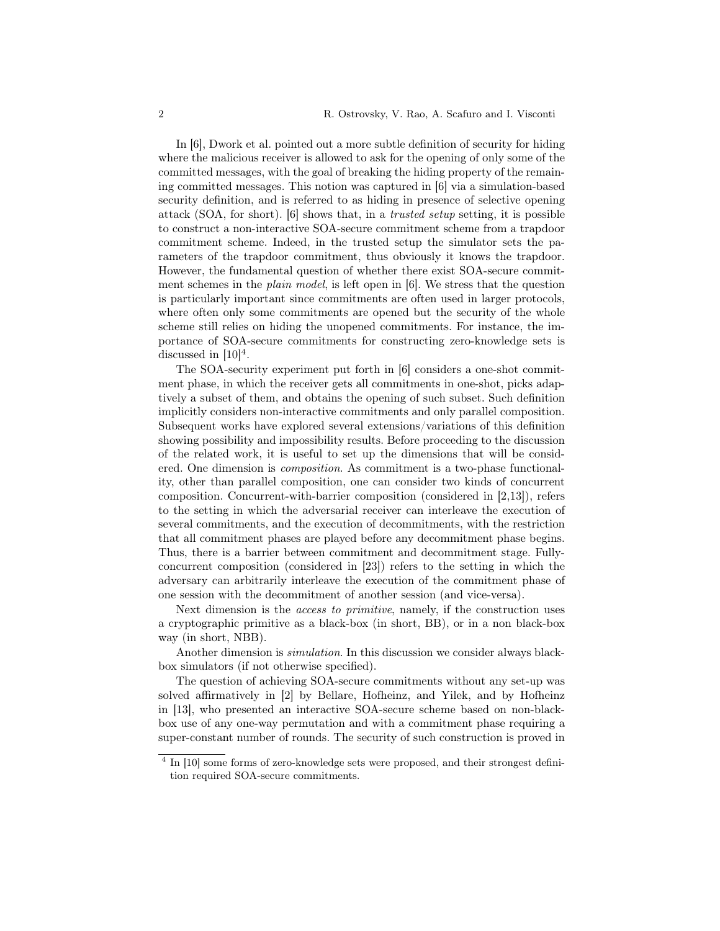In [6], Dwork et al. pointed out a more subtle definition of security for hiding where the malicious receiver is allowed to ask for the opening of only some of the committed messages, with the goal of breaking the hiding property of the remaining committed messages. This notion was captured in [6] via a simulation-based security definition, and is referred to as hiding in presence of selective opening attack (SOA, for short). [6] shows that, in a trusted setup setting, it is possible to construct a non-interactive SOA-secure commitment scheme from a trapdoor commitment scheme. Indeed, in the trusted setup the simulator sets the parameters of the trapdoor commitment, thus obviously it knows the trapdoor. However, the fundamental question of whether there exist SOA-secure commitment schemes in the *plain model*, is left open in [6]. We stress that the question is particularly important since commitments are often used in larger protocols, where often only some commitments are opened but the security of the whole scheme still relies on hiding the unopened commitments. For instance, the importance of SOA-secure commitments for constructing zero-knowledge sets is discussed in  $[10]^4$ .

The SOA-security experiment put forth in [6] considers a one-shot commitment phase, in which the receiver gets all commitments in one-shot, picks adaptively a subset of them, and obtains the opening of such subset. Such definition implicitly considers non-interactive commitments and only parallel composition. Subsequent works have explored several extensions/variations of this definition showing possibility and impossibility results. Before proceeding to the discussion of the related work, it is useful to set up the dimensions that will be considered. One dimension is composition. As commitment is a two-phase functionality, other than parallel composition, one can consider two kinds of concurrent composition. Concurrent-with-barrier composition (considered in [2,13]), refers to the setting in which the adversarial receiver can interleave the execution of several commitments, and the execution of decommitments, with the restriction that all commitment phases are played before any decommitment phase begins. Thus, there is a barrier between commitment and decommitment stage. Fullyconcurrent composition (considered in [23]) refers to the setting in which the adversary can arbitrarily interleave the execution of the commitment phase of one session with the decommitment of another session (and vice-versa).

Next dimension is the access to primitive, namely, if the construction uses a cryptographic primitive as a black-box (in short, BB), or in a non black-box way (in short, NBB).

Another dimension is simulation. In this discussion we consider always blackbox simulators (if not otherwise specified).

The question of achieving SOA-secure commitments without any set-up was solved affirmatively in [2] by Bellare, Hofheinz, and Yilek, and by Hofheinz in [13], who presented an interactive SOA-secure scheme based on non-blackbox use of any one-way permutation and with a commitment phase requiring a super-constant number of rounds. The security of such construction is proved in

<sup>&</sup>lt;sup>4</sup> In [10] some forms of zero-knowledge sets were proposed, and their strongest definition required SOA-secure commitments.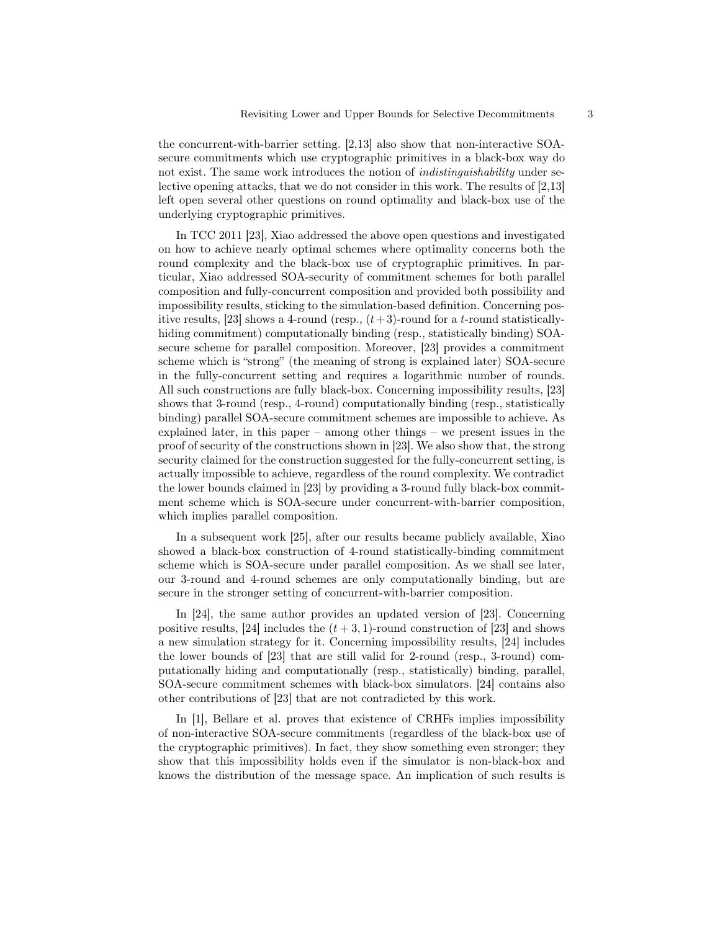the concurrent-with-barrier setting. [2,13] also show that non-interactive SOAsecure commitments which use cryptographic primitives in a black-box way do not exist. The same work introduces the notion of *indistinguishability* under selective opening attacks, that we do not consider in this work. The results of [2,13] left open several other questions on round optimality and black-box use of the underlying cryptographic primitives.

In TCC 2011 [23], Xiao addressed the above open questions and investigated on how to achieve nearly optimal schemes where optimality concerns both the round complexity and the black-box use of cryptographic primitives. In particular, Xiao addressed SOA-security of commitment schemes for both parallel composition and fully-concurrent composition and provided both possibility and impossibility results, sticking to the simulation-based definition. Concerning positive results, [23] shows a 4-round (resp.,  $(t+3)$ -round for a t-round statisticallyhiding commitment) computationally binding (resp., statistically binding) SOAsecure scheme for parallel composition. Moreover, [23] provides a commitment scheme which is "strong" (the meaning of strong is explained later) SOA-secure in the fully-concurrent setting and requires a logarithmic number of rounds. All such constructions are fully black-box. Concerning impossibility results, [23] shows that 3-round (resp., 4-round) computationally binding (resp., statistically binding) parallel SOA-secure commitment schemes are impossible to achieve. As explained later, in this paper – among other things – we present issues in the proof of security of the constructions shown in [23]. We also show that, the strong security claimed for the construction suggested for the fully-concurrent setting, is actually impossible to achieve, regardless of the round complexity. We contradict the lower bounds claimed in [23] by providing a 3-round fully black-box commitment scheme which is SOA-secure under concurrent-with-barrier composition, which implies parallel composition.

In a subsequent work [25], after our results became publicly available, Xiao showed a black-box construction of 4-round statistically-binding commitment scheme which is SOA-secure under parallel composition. As we shall see later, our 3-round and 4-round schemes are only computationally binding, but are secure in the stronger setting of concurrent-with-barrier composition.

In [24], the same author provides an updated version of [23]. Concerning positive results, [24] includes the  $(t + 3, 1)$ -round construction of [23] and shows a new simulation strategy for it. Concerning impossibility results, [24] includes the lower bounds of [23] that are still valid for 2-round (resp., 3-round) computationally hiding and computationally (resp., statistically) binding, parallel, SOA-secure commitment schemes with black-box simulators. [24] contains also other contributions of [23] that are not contradicted by this work.

In [1], Bellare et al. proves that existence of CRHFs implies impossibility of non-interactive SOA-secure commitments (regardless of the black-box use of the cryptographic primitives). In fact, they show something even stronger; they show that this impossibility holds even if the simulator is non-black-box and knows the distribution of the message space. An implication of such results is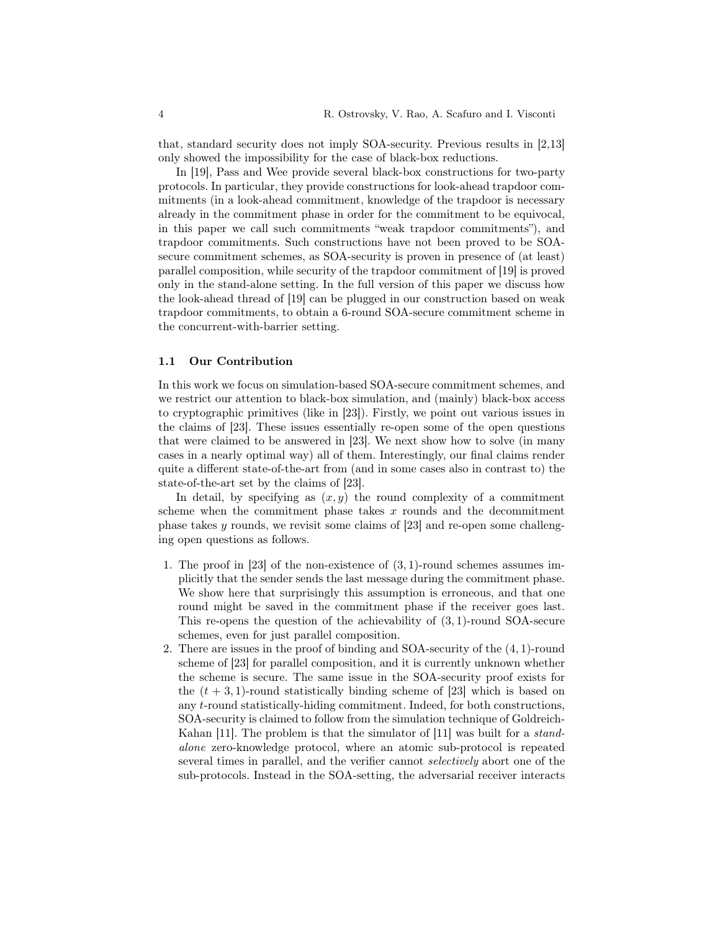that, standard security does not imply SOA-security. Previous results in [2,13] only showed the impossibility for the case of black-box reductions.

In [19], Pass and Wee provide several black-box constructions for two-party protocols. In particular, they provide constructions for look-ahead trapdoor commitments (in a look-ahead commitment, knowledge of the trapdoor is necessary already in the commitment phase in order for the commitment to be equivocal, in this paper we call such commitments "weak trapdoor commitments"), and trapdoor commitments. Such constructions have not been proved to be SOAsecure commitment schemes, as SOA-security is proven in presence of (at least) parallel composition, while security of the trapdoor commitment of [19] is proved only in the stand-alone setting. In the full version of this paper we discuss how the look-ahead thread of [19] can be plugged in our construction based on weak trapdoor commitments, to obtain a 6-round SOA-secure commitment scheme in the concurrent-with-barrier setting.

# 1.1 Our Contribution

In this work we focus on simulation-based SOA-secure commitment schemes, and we restrict our attention to black-box simulation, and (mainly) black-box access to cryptographic primitives (like in [23]). Firstly, we point out various issues in the claims of [23]. These issues essentially re-open some of the open questions that were claimed to be answered in [23]. We next show how to solve (in many cases in a nearly optimal way) all of them. Interestingly, our final claims render quite a different state-of-the-art from (and in some cases also in contrast to) the state-of-the-art set by the claims of [23].

In detail, by specifying as  $(x, y)$  the round complexity of a commitment scheme when the commitment phase takes  $x$  rounds and the decommitment phase takes  $y$  rounds, we revisit some claims of [23] and re-open some challenging open questions as follows.

- 1. The proof in [23] of the non-existence of (3, 1)-round schemes assumes implicitly that the sender sends the last message during the commitment phase. We show here that surprisingly this assumption is erroneous, and that one round might be saved in the commitment phase if the receiver goes last. This re-opens the question of the achievability of (3, 1)-round SOA-secure schemes, even for just parallel composition.
- 2. There are issues in the proof of binding and SOA-security of the (4, 1)-round scheme of [23] for parallel composition, and it is currently unknown whether the scheme is secure. The same issue in the SOA-security proof exists for the  $(t + 3, 1)$ -round statistically binding scheme of [23] which is based on any t-round statistically-hiding commitment. Indeed, for both constructions, SOA-security is claimed to follow from the simulation technique of Goldreich-Kahan [11]. The problem is that the simulator of [11] was built for a *stand*alone zero-knowledge protocol, where an atomic sub-protocol is repeated several times in parallel, and the verifier cannot selectively abort one of the sub-protocols. Instead in the SOA-setting, the adversarial receiver interacts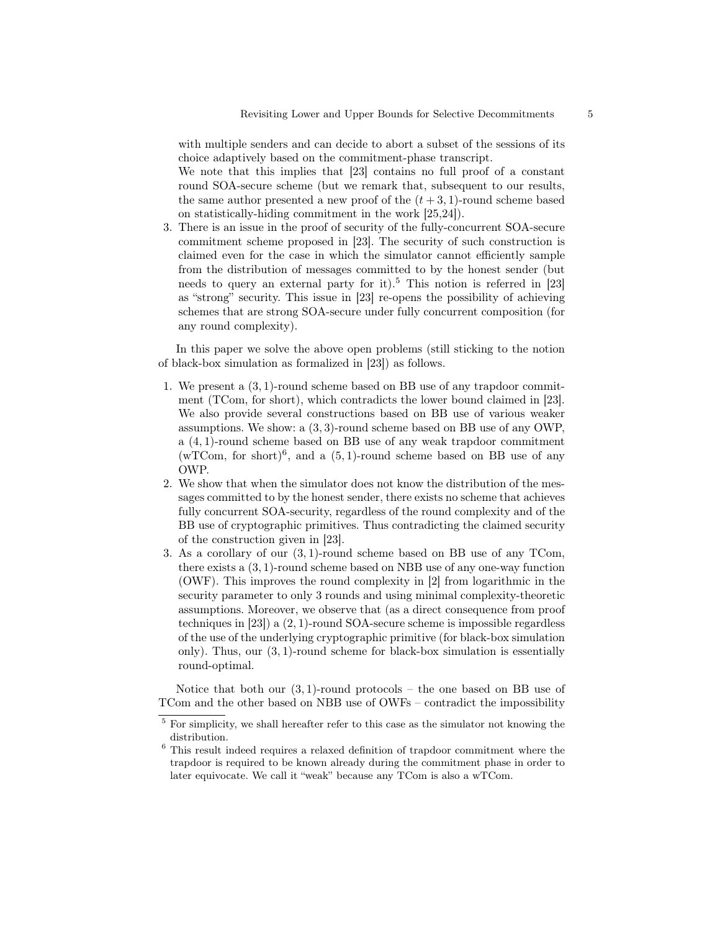with multiple senders and can decide to abort a subset of the sessions of its choice adaptively based on the commitment-phase transcript.

We note that this implies that [23] contains no full proof of a constant round SOA-secure scheme (but we remark that, subsequent to our results, the same author presented a new proof of the  $(t+3,1)$ -round scheme based on statistically-hiding commitment in the work [25,24]).

3. There is an issue in the proof of security of the fully-concurrent SOA-secure commitment scheme proposed in [23]. The security of such construction is claimed even for the case in which the simulator cannot efficiently sample from the distribution of messages committed to by the honest sender (but needs to query an external party for it).<sup>5</sup> This notion is referred in [23] as "strong" security. This issue in [23] re-opens the possibility of achieving schemes that are strong SOA-secure under fully concurrent composition (for any round complexity).

In this paper we solve the above open problems (still sticking to the notion of black-box simulation as formalized in [23]) as follows.

- 1. We present a (3, 1)-round scheme based on BB use of any trapdoor commitment (TCom, for short), which contradicts the lower bound claimed in [23]. We also provide several constructions based on BB use of various weaker assumptions. We show: a (3, 3)-round scheme based on BB use of any OWP, a (4, 1)-round scheme based on BB use of any weak trapdoor commitment  $(wTCom, for short)^6$ , and a  $(5, 1)$ -round scheme based on BB use of any OWP.
- 2. We show that when the simulator does not know the distribution of the messages committed to by the honest sender, there exists no scheme that achieves fully concurrent SOA-security, regardless of the round complexity and of the BB use of cryptographic primitives. Thus contradicting the claimed security of the construction given in [23].
- 3. As a corollary of our (3, 1)-round scheme based on BB use of any TCom, there exists a (3, 1)-round scheme based on NBB use of any one-way function (OWF). This improves the round complexity in [2] from logarithmic in the security parameter to only 3 rounds and using minimal complexity-theoretic assumptions. Moreover, we observe that (as a direct consequence from proof techniques in [23]) a (2, 1)-round SOA-secure scheme is impossible regardless of the use of the underlying cryptographic primitive (for black-box simulation only). Thus, our  $(3, 1)$ -round scheme for black-box simulation is essentially round-optimal.

Notice that both our  $(3, 1)$ -round protocols – the one based on BB use of TCom and the other based on NBB use of OWFs – contradict the impossibility

 $5$  For simplicity, we shall hereafter refer to this case as the simulator not knowing the distribution.

 $^6$  This result indeed requires a relaxed definition of trapdoor commitment where the  $\,$ trapdoor is required to be known already during the commitment phase in order to later equivocate. We call it "weak" because any TCom is also a wTCom.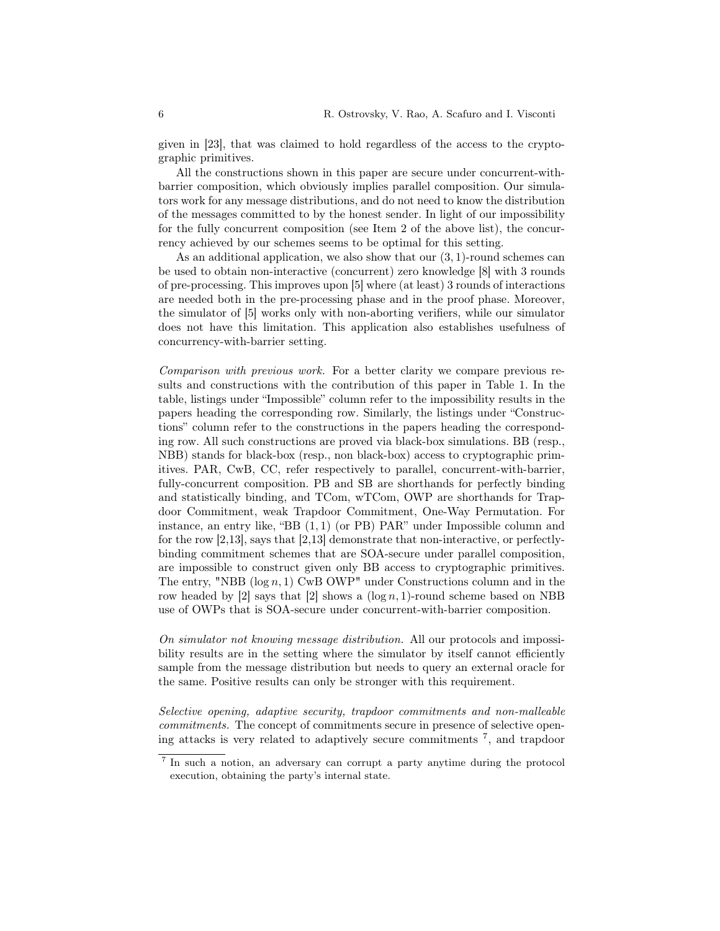given in [23], that was claimed to hold regardless of the access to the cryptographic primitives.

All the constructions shown in this paper are secure under concurrent-withbarrier composition, which obviously implies parallel composition. Our simulators work for any message distributions, and do not need to know the distribution of the messages committed to by the honest sender. In light of our impossibility for the fully concurrent composition (see Item 2 of the above list), the concurrency achieved by our schemes seems to be optimal for this setting.

As an additional application, we also show that our  $(3, 1)$ -round schemes can be used to obtain non-interactive (concurrent) zero knowledge [8] with 3 rounds of pre-processing. This improves upon [5] where (at least) 3 rounds of interactions are needed both in the pre-processing phase and in the proof phase. Moreover, the simulator of [5] works only with non-aborting verifiers, while our simulator does not have this limitation. This application also establishes usefulness of concurrency-with-barrier setting.

Comparison with previous work. For a better clarity we compare previous results and constructions with the contribution of this paper in Table 1. In the table, listings under "Impossible" column refer to the impossibility results in the papers heading the corresponding row. Similarly, the listings under "Constructions" column refer to the constructions in the papers heading the corresponding row. All such constructions are proved via black-box simulations. BB (resp., NBB) stands for black-box (resp., non black-box) access to cryptographic primitives. PAR, CwB, CC, refer respectively to parallel, concurrent-with-barrier, fully-concurrent composition. PB and SB are shorthands for perfectly binding and statistically binding, and TCom, wTCom, OWP are shorthands for Trapdoor Commitment, weak Trapdoor Commitment, One-Way Permutation. For instance, an entry like, "BB (1, 1) (or PB) PAR" under Impossible column and for the row [2,13], says that [2,13] demonstrate that non-interactive, or perfectlybinding commitment schemes that are SOA-secure under parallel composition, are impossible to construct given only BB access to cryptographic primitives. The entry, "NBB  $(\log n, 1)$  CwB OWP" under Constructions column and in the row headed by [2] says that [2] shows a  $(\log n, 1)$ -round scheme based on NBB use of OWPs that is SOA-secure under concurrent-with-barrier composition.

On simulator not knowing message distribution. All our protocols and impossibility results are in the setting where the simulator by itself cannot efficiently sample from the message distribution but needs to query an external oracle for the same. Positive results can only be stronger with this requirement.

Selective opening, adaptive security, trapdoor commitments and non-malleable commitments. The concept of commitments secure in presence of selective opening attacks is very related to adaptively secure commitments <sup>7</sup> , and trapdoor

<sup>&</sup>lt;sup>7</sup> In such a notion, an adversary can corrupt a party anytime during the protocol execution, obtaining the party's internal state.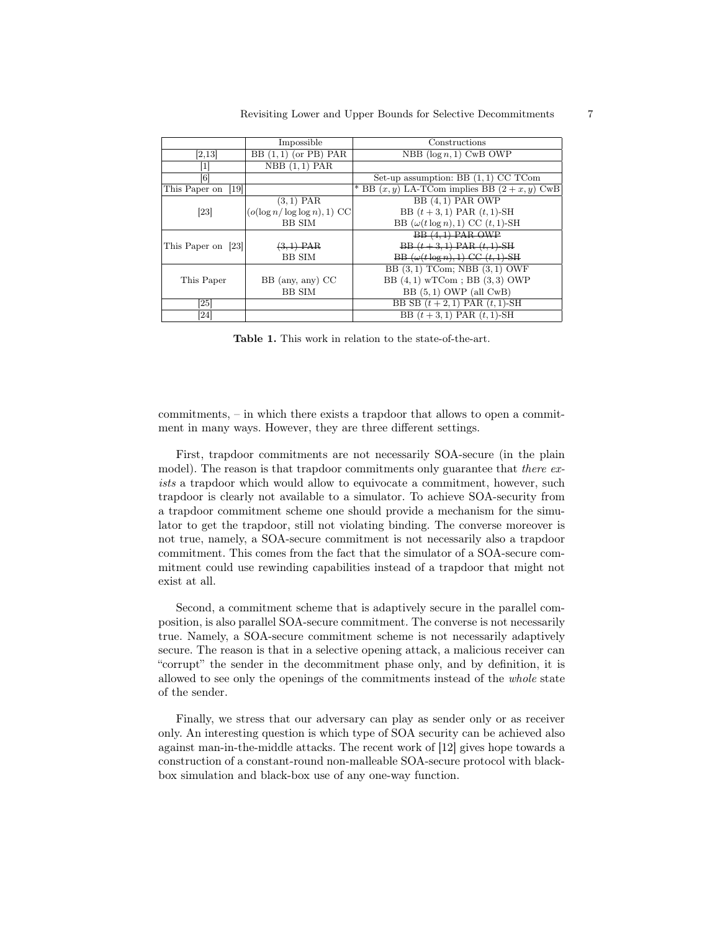|                                     | Impossible                      | Constructions                                   |
|-------------------------------------|---------------------------------|-------------------------------------------------|
| [2,13]                              | BB $(1,1)$ (or PB) PAR          | NBB $(\log n, 1)$ CwB OWP                       |
| $\vert 1 \vert$                     | $NBB(1,1)$ PAR                  |                                                 |
| [6]                                 |                                 | Set-up assumption: BB $(1,1)$ CC TCom           |
| This Paper on<br>$\lceil 19 \rceil$ |                                 | BB $(x, y)$ LA-TCom implies BB $(2 + x, y)$ CwB |
|                                     | $(3,1)$ PAR                     | BB $(4,1)$ PAR OWP                              |
| $[23]$                              | $(o(\log n/\log \log n), 1)$ CC | BB $(t+3,1)$ PAR $(t,1)$ -SH                    |
|                                     | <b>BB</b> SIM                   | BB $(\omega(t \log n), 1)$ CC $(t, 1)$ -SH      |
|                                     |                                 | $BB(4,1)$ PAR OWP                               |
| This Paper on [23]                  | $(3,1)$ PAR                     | $BB(t+3,1)$ PAR $(t,1)$ -SH                     |
|                                     | <b>BB</b> SIM                   | BB $(\omega(t \log n), 1)$ CC $(t, 1)$ -SH      |
|                                     |                                 | BB $(3,1)$ TCom; NBB $(3,1)$ OWF                |
| This Paper                          | BB (any, any) CC                | BB $(4,1)$ wTCom; BB $(3,3)$ OWP                |
|                                     | <b>BB</b> SIM                   | BB $(5,1)$ OWP $(all CwB)$                      |
| [25]                                |                                 | BB SB $(t + 2, 1)$ PAR $(t, 1)$ -SH             |
| [24]                                |                                 | BB $(t+3,1)$ PAR $(t,1)$ -SH                    |

Table 1. This work in relation to the state-of-the-art.

commitments, – in which there exists a trapdoor that allows to open a commitment in many ways. However, they are three different settings.

First, trapdoor commitments are not necessarily SOA-secure (in the plain model). The reason is that trapdoor commitments only guarantee that there exists a trapdoor which would allow to equivocate a commitment, however, such trapdoor is clearly not available to a simulator. To achieve SOA-security from a trapdoor commitment scheme one should provide a mechanism for the simulator to get the trapdoor, still not violating binding. The converse moreover is not true, namely, a SOA-secure commitment is not necessarily also a trapdoor commitment. This comes from the fact that the simulator of a SOA-secure commitment could use rewinding capabilities instead of a trapdoor that might not exist at all.

Second, a commitment scheme that is adaptively secure in the parallel composition, is also parallel SOA-secure commitment. The converse is not necessarily true. Namely, a SOA-secure commitment scheme is not necessarily adaptively secure. The reason is that in a selective opening attack, a malicious receiver can "corrupt" the sender in the decommitment phase only, and by definition, it is allowed to see only the openings of the commitments instead of the whole state of the sender.

Finally, we stress that our adversary can play as sender only or as receiver only. An interesting question is which type of SOA security can be achieved also against man-in-the-middle attacks. The recent work of [12] gives hope towards a construction of a constant-round non-malleable SOA-secure protocol with blackbox simulation and black-box use of any one-way function.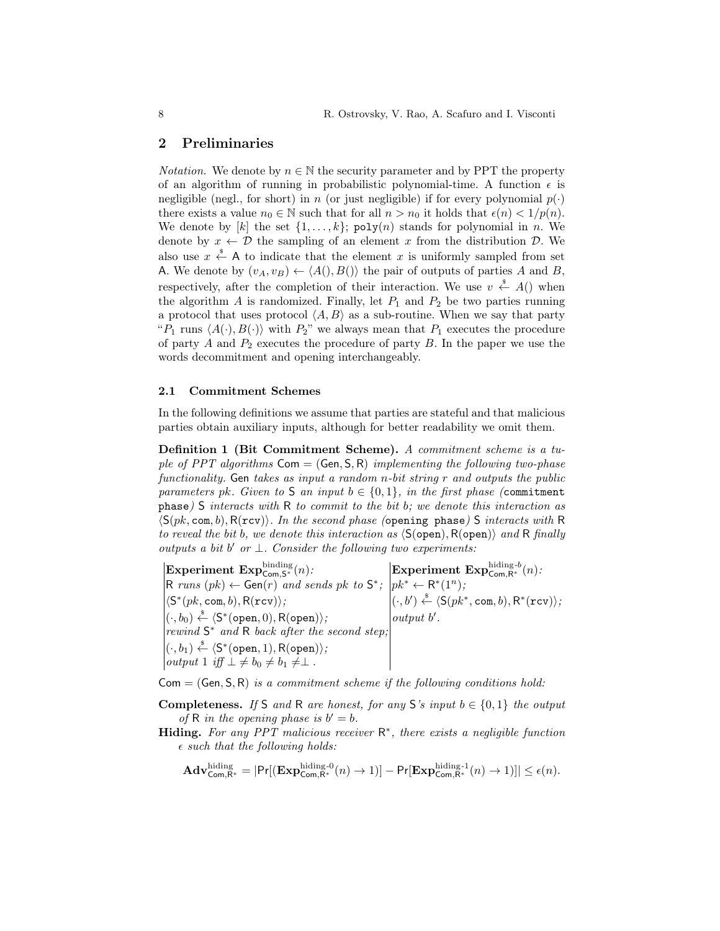# 2 Preliminaries

*Notation.* We denote by  $n \in \mathbb{N}$  the security parameter and by PPT the property of an algorithm of running in probabilistic polynomial-time. A function  $\epsilon$  is negligible (negl., for short) in n (or just negligible) if for every polynomial  $p(\cdot)$ there exists a value  $n_0 \in \mathbb{N}$  such that for all  $n > n_0$  it holds that  $\epsilon(n) < 1/p(n)$ . We denote by [k] the set  $\{1, \ldots, k\}$ ; poly $(n)$  stands for polynomial in n. We denote by  $x \leftarrow \mathcal{D}$  the sampling of an element x from the distribution  $\mathcal{D}$ . We also use  $x \stackrel{\$}{\leftarrow} A$  to indicate that the element x is uniformly sampled from set A. We denote by  $(v_A, v_B) \leftarrow \langle A(0), B(0) \rangle$  the pair of outputs of parties A and B, respectively, after the completion of their interaction. We use  $v \leftarrow A()$  when the algorithm  $A$  is randomized. Finally, let  $P_1$  and  $P_2$  be two parties running a protocol that uses protocol  $\langle A, B \rangle$  as a sub-routine. When we say that party " $P_1$  runs  $\langle A(\cdot), B(\cdot) \rangle$  with  $P_2$ " we always mean that  $P_1$  executes the procedure of party  $A$  and  $P_2$  executes the procedure of party  $B$ . In the paper we use the words decommitment and opening interchangeably.

### 2.1 Commitment Schemes

In the following definitions we assume that parties are stateful and that malicious parties obtain auxiliary inputs, although for better readability we omit them.

Definition 1 (Bit Commitment Scheme). A commitment scheme is a tuple of PPT algorithms  $Com = (Gen, S, R)$  implementing the following two-phase functionality. Gen takes as input a random n-bit string r and outputs the public parameters pk. Given to S an input  $b \in \{0, 1\}$ , in the first phase (commitment  $phase)$  S interacts with R to commit to the bit b; we denote this interaction as  $\langle S(pk, \text{com}, b), R(\text{rcv}) \rangle$ . In the second phase (opening phase) S interacts with R to reveal the bit b, we denote this interaction as  $\langle S(\text{open}), R(\text{open})\rangle$  and R finally outputs a bit  $b'$  or  $\bot$ . Consider the following two experiments:

 $\textup{Experiment}\ \textup{Exp}_{\mathsf{Com}, \mathsf{S}^*}^{\textup{binding}}(n)$ :  $\qquad \qquad \Big|\textup{Experiment}\ \textup{Exp}_{\mathsf{Com}, \mathsf{R}^*}^{\textup{hiding-}b}(n)$ : R runs  $(pk) \leftarrow$  Gen $(r)$  and sends pk to  $S^*$ ;  $|pk^* \leftarrow R^*(1^n)$ ;  $\langle S^*(pk, \text{com}, b), R(\text{rcv}) \rangle;$   $\langle \cdot, b' \rangle \stackrel{\text{s}}{\leftarrow} \langle S(pk^*, \text{com}, b), R^*(\text{rcv}) \rangle;$  $(\cdot, b_0) \stackrel{\$}{\leftarrow} \langle S^*(\text{open}, 0), \mathsf{R}(\text{open})\rangle;$  *output b'.* rewind S<sup>\*</sup> and R back after the second step;  $(\cdot, b_1) \stackrel{\text{*}}{\leftarrow} \langle S^*(\texttt{open}, 1), \mathsf{R}(\texttt{open}) \rangle;$ *output* 1 *iff*  $\bot \neq b_0 \neq b_1 \neq \bot$ .

 $Com = (Gen, S, R)$  is a commitment scheme if the following conditions hold:

**Completeness.** If S and R are honest, for any S's input  $b \in \{0, 1\}$  the output of R in the opening phase is  $b' = b$ .

Hiding. For any PPT malicious receiver  $\mathsf{R}^*$ , there exists a negligible function  $\epsilon$  such that the following holds:

$$
\mathbf{Adv}_{\mathsf{Com}, \mathsf{R}^*}^{\text{hiding}} = |\mathsf{Pr}[(\mathbf{Exp}_{\mathsf{Com}, \mathsf{R}^*}^{\text{hiding-0}}(n) \to 1)] - \mathsf{Pr}[\mathbf{Exp}_{\mathsf{Com}, \mathsf{R}^*}^{\text{hiding-1}}(n) \to 1)]| \le \epsilon(n).
$$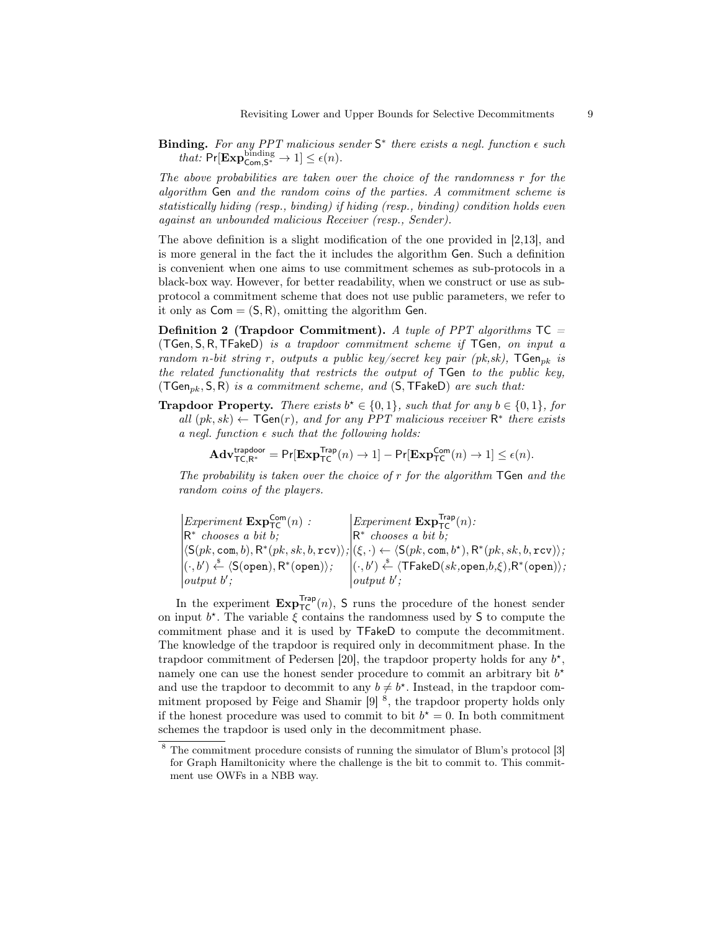Binding. For any PPT malicious sender  $S^*$  there exists a negl. function  $\epsilon$  such *that:*  $Pr[\mathbf{Exp}_{\mathsf{Com},\mathsf{S}^*}^{\text{binding}} \to 1] \leq \epsilon(n)$ .

The above probabilities are taken over the choice of the randomness r for the algorithm Gen and the random coins of the parties. A commitment scheme is statistically hiding (resp., binding) if hiding (resp., binding) condition holds even against an unbounded malicious Receiver (resp., Sender).

The above definition is a slight modification of the one provided in [2,13], and is more general in the fact the it includes the algorithm Gen. Such a definition is convenient when one aims to use commitment schemes as sub-protocols in a black-box way. However, for better readability, when we construct or use as subprotocol a commitment scheme that does not use public parameters, we refer to it only as  $Com = (S, R)$ , omitting the algorithm Gen.

**Definition 2 (Trapdoor Commitment).** A tuple of PPT algorithms  $TC =$ (TGen, S, R,TFakeD) is a trapdoor commitment scheme if TGen, on input a random n-bit string r, outputs a public key/secret key pair (pk,sk),  $\mathsf{TGen}_{pk}$  is the related functionality that restricts the output of TGen to the public key, (TGen<sub>pk</sub>, S, R) is a commitment scheme, and  $(S, TFAkeD)$  are such that:

**Trapdoor Property.** There exists  $b^* \in \{0, 1\}$ , such that for any  $b \in \{0, 1\}$ , for all  $(pk, sk) \leftarrow \mathsf{TGen}(r)$ , and for any PPT malicious receiver  $\mathsf{R}^*$  there exists a negl. function  $\epsilon$  such that the following holds:

$$
\mathbf{Adv}_{\mathsf{TC},\mathsf{R}^*}^{\mathsf{trapdoor}} = \mathsf{Pr}[\mathbf{Exp}_{\mathsf{TC}}^{\mathsf{Trap}}(n) \to 1] - \mathsf{Pr}[\mathbf{Exp}_{\mathsf{TC}}^{\mathsf{Com}}(n) \to 1] \leq \epsilon(n).
$$

The probability is taken over the choice of  $r$  for the algorithm  $\mathsf{TGen}$  and the random coins of the players.

| <i>Experiment</i> $\mathbf{Exp}_{TC}^{Com}(n)$ :                                                                                                       | $\vert Experiment\ {\bf Exp}_{\mathsf{TC}}^{\mathsf{Trap}}(n)\right.$                                                                                                       |
|--------------------------------------------------------------------------------------------------------------------------------------------------------|-----------------------------------------------------------------------------------------------------------------------------------------------------------------------------|
| $\mathbb{R}^*$ chooses a bit b;                                                                                                                        | $\mathsf{R}^*$ chooses a bit b;                                                                                                                                             |
|                                                                                                                                                        | $ \langle S(pk, \texttt{com}, b), R^*(pk, sk, b, \texttt{rcv})\rangle (\xi, \cdot) \leftarrow \langle S(pk, \texttt{com}, b^{\star}), R^*(pk, sk, b, \texttt{rcv})\rangle;$ |
| $ (\cdot,b') \stackrel{\hspace{0.1em}\mathsf{\scriptscriptstyle\$}}{\leftarrow} \langle \mathsf{S}(\mathtt{open}),\mathsf{R}^*(\mathtt{open})\rangle;$ | $  ( \cdot, b' ) \stackrel{\text{*}}{\leftarrow} \langle \text{TFakeD}(sk, \text{open}, b, \xi), R^*(\text{open}) \rangle$                                                  |
| $\vert output\ b';$                                                                                                                                    | $\omega$ output $b'$ ;                                                                                                                                                      |

In the experiment  $\text{Exp}_{\text{TC}}^{\text{Trap}}(n)$ , S runs the procedure of the honest sender on input  $b^*$ . The variable  $\xi$  contains the randomness used by S to compute the commitment phase and it is used by TFakeD to compute the decommitment. The knowledge of the trapdoor is required only in decommitment phase. In the trapdoor commitment of Pedersen [20], the trapdoor property holds for any  $b^*$ , namely one can use the honest sender procedure to commit an arbitrary bit  $b^*$ and use the trapdoor to decommit to any  $b \neq b^*$ . Instead, in the trapdoor commitment proposed by Feige and Shamir [9]<sup>8</sup>, the trapdoor property holds only if the honest procedure was used to commit to bit  $b^* = 0$ . In both commitment schemes the trapdoor is used only in the decommitment phase.

<sup>8</sup> The commitment procedure consists of running the simulator of Blum's protocol [3] for Graph Hamiltonicity where the challenge is the bit to commit to. This commitment use OWFs in a NBB way.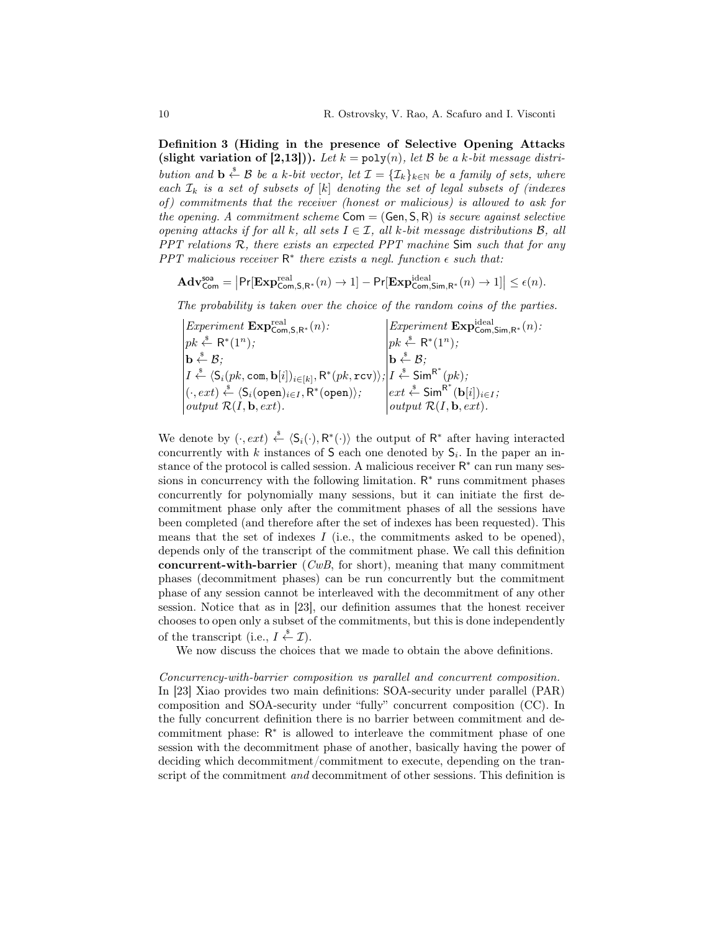Definition 3 (Hiding in the presence of Selective Opening Attacks (slight variation of [2,13])). Let  $k = \text{poly}(n)$ , let B be a k-bit message distribution and  $\mathbf{b} \stackrel{\$}{\leftarrow} \mathcal{B}$  be a k-bit vector, let  $\mathcal{I} = {\{\mathcal{I}_k\}}_{k \in \mathbb{N}}$  be a family of sets, where each  $\mathcal{I}_k$  is a set of subsets of  $[k]$  denoting the set of legal subsets of (indexes of) commitments that the receiver (honest or malicious) is allowed to ask for the opening. A commitment scheme  $Com = (Gen, S, R)$  is secure against selective opening attacks if for all k, all sets  $I \in \mathcal{I}$ , all k-bit message distributions  $\mathcal{B}$ , all  $PPT$  relations  $R$ , there exists an expected  $PPT$  machine  $Sim$  such that for any PPT malicious receiver  $\mathsf{R}^*$  there exists a negl. function  $\epsilon$  such that:

$$
\mathbf{Adv}_{\mathsf{Com}}^{\mathsf{soa}} = \left|\mathsf{Pr}[\mathbf{Exp}_{\mathsf{Com},\mathsf{S},\mathsf{R}^*}^{\mathsf{real}}(n) \to 1] - \mathsf{Pr}[\mathbf{Exp}_{\mathsf{Com},\mathsf{Sim},\mathsf{R}^*}^{\mathsf{ideal}}(n) \to 1] \right| \le \epsilon(n).
$$

The probability is taken over the choice of the random coins of the parties.

| <i>Experiment</i> $\mathbf{Exp}_{\mathsf{Com},\mathsf{S},\mathsf{R}^*}(n)$ :                                                                                                                                                                                                                            | <i>Experiment</i> $\mathbf{Exp}_{\mathsf{Com},\mathsf{Sim},\mathsf{R}^*}^{\text{ideal}}(n)$ :                                                 |
|---------------------------------------------------------------------------------------------------------------------------------------------------------------------------------------------------------------------------------------------------------------------------------------------------------|-----------------------------------------------------------------------------------------------------------------------------------------------|
| $ pk \stackrel{\$}{\leftarrow} R^*(1^n);$                                                                                                                                                                                                                                                               | $pk \overset{\$}{\leftarrow} R^*(1^n);$<br>$\mathbf{b} \overset{\$}{\leftarrow} B;$                                                           |
| $\mathbf{b} \stackrel{\mathsf{s}}{\leftarrow} \mathcal{B}$ :                                                                                                                                                                                                                                            |                                                                                                                                               |
| $\left  I \stackrel{\hspace{0.1em}\mathsf{\scriptscriptstyle\$}}{\leftarrow} \langle \mathsf{S}_i(pk, \mathtt{com}, \mathbf{b}[i])_{i \in [k]}, \mathsf{R}^*(pk, \mathtt{rcv}) \rangle ; \right  I \stackrel{\hspace{0.1em}\mathsf{\scriptscriptstyle\$}}{\leftarrow} \mathsf{Sim}^{\mathsf{R}^*}(pk);$ |                                                                                                                                               |
| $ (\cdot, ext) \stackrel{\$}{\leftarrow} \langle {\mathsf S}_i(\mathtt{open})_{i \in I}, {\mathsf R}^*(\mathtt{open})\rangle;$                                                                                                                                                                          | $\left  ext \stackrel{\hspace{0.1em}\mathsf{\scriptscriptstyle\$}}{\leftarrow} \mathsf{Sim}^{\mathsf{R}^*}(\mathbf{b}[i])_{i \in I}; \right.$ |
| $\vert output \mathcal{R}(I, \mathbf{b}, ext).$                                                                                                                                                                                                                                                         | <i>output</i> $\mathcal{R}(I, \mathbf{b}, ext)$ .                                                                                             |

We denote by  $(\cdot, ext) \stackrel{\$}{\leftarrow} \langle \mathsf{S}_i(\cdot), \mathsf{R}^*(\cdot) \rangle$  the output of  $\mathsf{R}^*$  after having interacted concurrently with k instances of  $S$  each one denoted by  $S_i$ . In the paper an instance of the protocol is called session. A malicious receiver  $R^*$  can run many sessions in concurrency with the following limitation.  $R^*$  runs commitment phases concurrently for polynomially many sessions, but it can initiate the first decommitment phase only after the commitment phases of all the sessions have been completed (and therefore after the set of indexes has been requested). This means that the set of indexes  $I$  (i.e., the commitments asked to be opened), depends only of the transcript of the commitment phase. We call this definition concurrent-with-barrier  $(CwB,$  for short), meaning that many commitment phases (decommitment phases) can be run concurrently but the commitment phase of any session cannot be interleaved with the decommitment of any other session. Notice that as in [23], our definition assumes that the honest receiver chooses to open only a subset of the commitments, but this is done independently of the transcript (i.e.,  $I \stackrel{\$}{\leftarrow} \mathcal{I}$ ).

We now discuss the choices that we made to obtain the above definitions.

Concurrency-with-barrier composition vs parallel and concurrent composition. In [23] Xiao provides two main definitions: SOA-security under parallel (PAR) composition and SOA-security under "fully" concurrent composition (CC). In the fully concurrent definition there is no barrier between commitment and decommitment phase: R<sup>\*</sup> is allowed to interleave the commitment phase of one session with the decommitment phase of another, basically having the power of deciding which decommitment/commitment to execute, depending on the transcript of the commitment *and* decommitment of other sessions. This definition is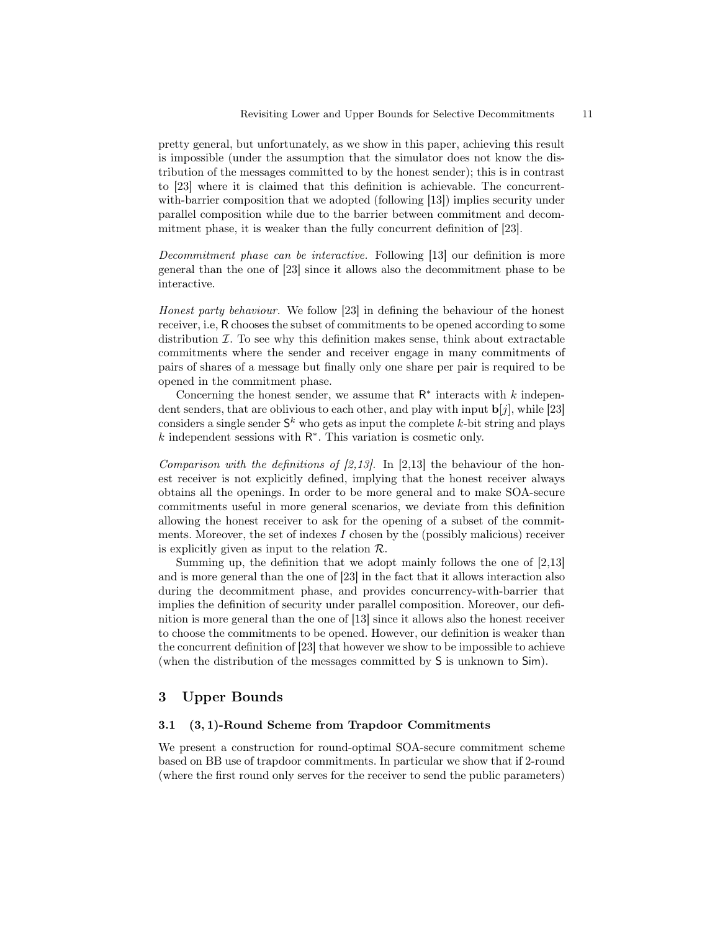pretty general, but unfortunately, as we show in this paper, achieving this result is impossible (under the assumption that the simulator does not know the distribution of the messages committed to by the honest sender); this is in contrast to [23] where it is claimed that this definition is achievable. The concurrentwith-barrier composition that we adopted (following [13]) implies security under parallel composition while due to the barrier between commitment and decommitment phase, it is weaker than the fully concurrent definition of [23].

Decommitment phase can be interactive. Following [13] our definition is more general than the one of [23] since it allows also the decommitment phase to be interactive.

Honest party behaviour. We follow [23] in defining the behaviour of the honest receiver, i.e, R chooses the subset of commitments to be opened according to some distribution  $I$ . To see why this definition makes sense, think about extractable commitments where the sender and receiver engage in many commitments of pairs of shares of a message but finally only one share per pair is required to be opened in the commitment phase.

Concerning the honest sender, we assume that  $\mathsf{R}^*$  interacts with k independent senders, that are oblivious to each other, and play with input  $\mathbf{b}[i]$ , while [23] considers a single sender  $\mathsf{S}^k$  who gets as input the complete k-bit string and plays  $k$  independent sessions with  $\mathsf{R}^*$ . This variation is cosmetic only.

Comparison with the definitions of  $[2,13]$ . In  $[2,13]$  the behaviour of the honest receiver is not explicitly defined, implying that the honest receiver always obtains all the openings. In order to be more general and to make SOA-secure commitments useful in more general scenarios, we deviate from this definition allowing the honest receiver to ask for the opening of a subset of the commitments. Moreover, the set of indexes  $I$  chosen by the (possibly malicious) receiver is explicitly given as input to the relation  $\mathcal{R}$ .

Summing up, the definition that we adopt mainly follows the one of [2,13] and is more general than the one of [23] in the fact that it allows interaction also during the decommitment phase, and provides concurrency-with-barrier that implies the definition of security under parallel composition. Moreover, our definition is more general than the one of [13] since it allows also the honest receiver to choose the commitments to be opened. However, our definition is weaker than the concurrent definition of [23] that however we show to be impossible to achieve (when the distribution of the messages committed by S is unknown to Sim).

# 3 Upper Bounds

### 3.1 (3, 1)-Round Scheme from Trapdoor Commitments

We present a construction for round-optimal SOA-secure commitment scheme based on BB use of trapdoor commitments. In particular we show that if 2-round (where the first round only serves for the receiver to send the public parameters)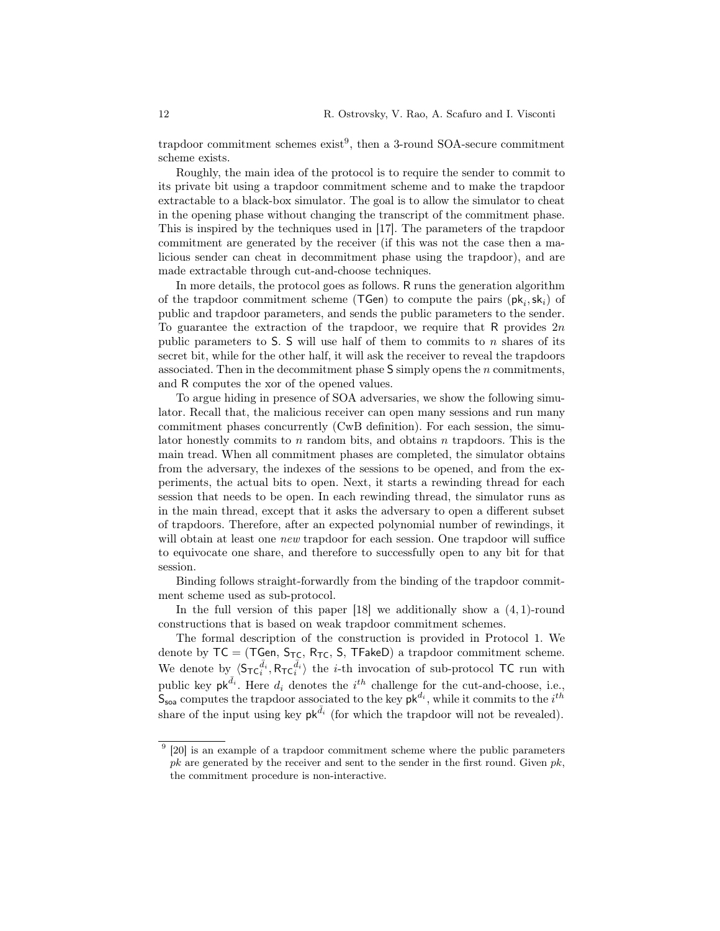trapdoor commitment schemes exist<sup>9</sup>, then a 3-round SOA-secure commitment scheme exists.

Roughly, the main idea of the protocol is to require the sender to commit to its private bit using a trapdoor commitment scheme and to make the trapdoor extractable to a black-box simulator. The goal is to allow the simulator to cheat in the opening phase without changing the transcript of the commitment phase. This is inspired by the techniques used in [17]. The parameters of the trapdoor commitment are generated by the receiver (if this was not the case then a malicious sender can cheat in decommitment phase using the trapdoor), and are made extractable through cut-and-choose techniques.

In more details, the protocol goes as follows. R runs the generation algorithm of the trapdoor commitment scheme (TGen) to compute the pairs  $(\mathsf{pk}_i, \mathsf{sk}_i)$  of public and trapdoor parameters, and sends the public parameters to the sender. To guarantee the extraction of the trapdoor, we require that R provides  $2n$ public parameters to  $S$ . S will use half of them to commits to n shares of its secret bit, while for the other half, it will ask the receiver to reveal the trapdoors associated. Then in the decommitment phase S simply opens the n commitments, and R computes the xor of the opened values.

To argue hiding in presence of SOA adversaries, we show the following simulator. Recall that, the malicious receiver can open many sessions and run many commitment phases concurrently (CwB definition). For each session, the simulator honestly commits to n random bits, and obtains n trapdoors. This is the main tread. When all commitment phases are completed, the simulator obtains from the adversary, the indexes of the sessions to be opened, and from the experiments, the actual bits to open. Next, it starts a rewinding thread for each session that needs to be open. In each rewinding thread, the simulator runs as in the main thread, except that it asks the adversary to open a different subset of trapdoors. Therefore, after an expected polynomial number of rewindings, it will obtain at least one *new* trapdoor for each session. One trapdoor will suffice to equivocate one share, and therefore to successfully open to any bit for that session.

Binding follows straight-forwardly from the binding of the trapdoor commitment scheme used as sub-protocol.

In the full version of this paper  $[18]$  we additionally show a  $(4, 1)$ -round constructions that is based on weak trapdoor commitment schemes.

The formal description of the construction is provided in Protocol 1. We denote by  $TC = (TGen, S_{TC}, R_{TC}, S, TFakeD)$  a trapdoor commitment scheme. We denote by  $\langle S_{TC}^{\bar{d_i}}$ ,  $R_{TC}^{\bar{d_i}} \rangle$  the *i*-th invocation of sub-protocol TC run with public key  $\mathsf{pk}^{\bar{d}_i}$ . Here  $d_i$  denotes the  $i^{th}$  challenge for the cut-and-choose, i.e.,  $S_{\text{soa}}$  computes the trapdoor associated to the key  $\mathsf{pk}^{d_i}$ , while it commits to the  $i^{th}$ share of the input using key  $\mathsf{pk}^{\bar{d}_i}$  (for which the trapdoor will not be revealed).

<sup>&</sup>lt;sup>9</sup> [20] is an example of a trapdoor commitment scheme where the public parameters  $pk$  are generated by the receiver and sent to the sender in the first round. Given  $pk$ , the commitment procedure is non-interactive.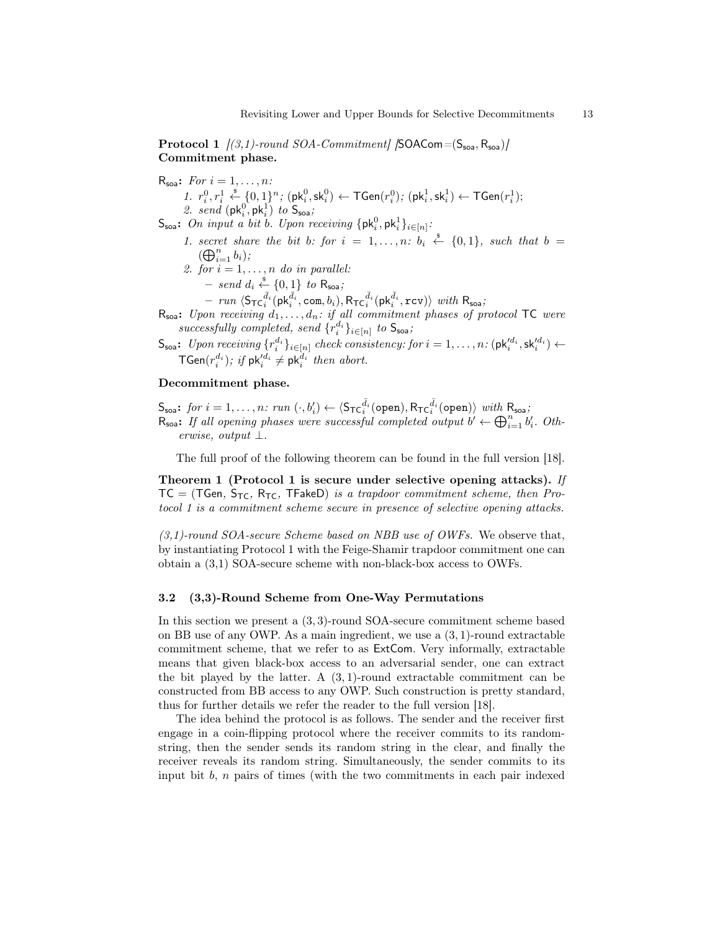**Protocol 1**  $[(3,1)$ -round SOA-Commitment]  $[SOACom=(S_{soa}, R_{soa})]$ Commitment phase.

 $R_{\text{soa}}$ : For  $i = 1, \ldots, n$ :  $1. \ \ r_{i}^{0}, r_{i}^{1} \leftarrow \{0, 1\}^{n}; \ (\mathsf{pk}_{i}^{0}, \mathsf{sk}_{i}^{0}) \leftarrow \mathsf{TGen}(r_{i}^{0}); \ (\mathsf{pk}_{i}^{1}, \mathsf{sk}_{i}^{1}) \leftarrow \mathsf{TGen}(r_{i}^{1});$ 

2. send  $(\mathsf{pk}_i^0, \mathsf{pk}_i^1)$  to  $\mathsf{S}_{\mathsf{soa}}$ ;

 $S_{\text{soa}}$ : On input a bit b. Upon receiving  $\{\mathsf{pk}_i^0, \mathsf{pk}_i^1\}_{i \in [n]}$ :

- 1. secret share the bit b: for  $i = 1, \ldots, n$ :  $b_i \stackrel{s}{\leftarrow} \{0, 1\}$ , such that  $b =$  $(\bigoplus_{i=1}^n b_i);$
- 2. for  $i = 1, \ldots, n$  do in parallel:  $-$  send  $d_i \stackrel{\$}{\leftarrow} \{0,1\}$  to  $\mathsf{R}_{\mathsf{soa}}$ ;
	-
	- $\; run \; \langle \mathsf{S}_{\mathsf{TC}} \bar{d}_i^{\bar{d}_i}(\mathsf{pk}_i^{\bar{d}_i}, \mathtt{com}, b_i), \mathsf{R}_{\mathsf{TC}} \bar{d}_i^{\bar{d}_i}(\mathsf{pk}_i^{\bar{d}_i}, \mathtt{rcv}) \rangle \; \; with \; \mathsf{R}_{\mathsf{soa}};$
- $\mathsf{R}_{\mathsf{soa}}$ : Upon receiving  $d_1, \ldots, d_n$ : if all commitment phases of protocol TC were successfully completed, send  $\{r_i^{d_i}\}_{i \in [n]}$  to  $S_{\text{soa}}$ ;
- $\mathsf{S}_{\mathsf{soa}}\colon \text{ Upon receiving } \{r_i^{d_i}\}_{i\in[n]} \text{ check consistency: for } i = 1, \ldots, n \colon (\mathsf{pk}_i'^{d_i}, \mathsf{sk}_i'^{d_i}) \leftarrow$  $\mathsf{TGen}(r_i^{d_i}); \text{ if } \mathsf{pk}_i'^{d_i} \neq \mathsf{pk}_i^{d_i} \text{ then abort.}$

### Decommitment phase.

 $\mathsf{S}_{\mathsf{soa}}\colon \textit{for} \,\, i=1,\ldots,n \colon \textit{run} \,\, (\cdot,b'_i) \leftarrow \langle \mathsf{S}_{\mathsf{TC}}^{\,\,\bar{d}_i}(\texttt{open}), \mathsf{R}_{\mathsf{TC}}^{\,\,\bar{d}_i}(\texttt{open}) \rangle \,\, \textit{with} \,\, \mathsf{R}_{\mathsf{soa}}\hspace{0.5pt} ;$  $R_{\text{soa}}$ : If all opening phases were successful completed output  $b' \leftarrow \bigoplus_{i=1}^n b'_i$ . Otherwise, output  $\bot$ .

The full proof of the following theorem can be found in the full version [18].

Theorem 1 (Protocol 1 is secure under selective opening attacks). If  $TC = (TGen, S_{TC}, R_{TC}, TFakeD)$  is a trapdoor commitment scheme, then Protocol 1 is a commitment scheme secure in presence of selective opening attacks.

 $(3,1)$ -round SOA-secure Scheme based on NBB use of OWFs. We observe that, by instantiating Protocol 1 with the Feige-Shamir trapdoor commitment one can obtain a (3,1) SOA-secure scheme with non-black-box access to OWFs.

#### 3.2 (3,3)-Round Scheme from One-Way Permutations

In this section we present a (3, 3)-round SOA-secure commitment scheme based on BB use of any OWP. As a main ingredient, we use a  $(3,1)$ -round extractable commitment scheme, that we refer to as ExtCom. Very informally, extractable means that given black-box access to an adversarial sender, one can extract the bit played by the latter. A  $(3, 1)$ -round extractable commitment can be constructed from BB access to any OWP. Such construction is pretty standard, thus for further details we refer the reader to the full version [18].

The idea behind the protocol is as follows. The sender and the receiver first engage in a coin-flipping protocol where the receiver commits to its randomstring, then the sender sends its random string in the clear, and finally the receiver reveals its random string. Simultaneously, the sender commits to its input bit  $b, n$  pairs of times (with the two commitments in each pair indexed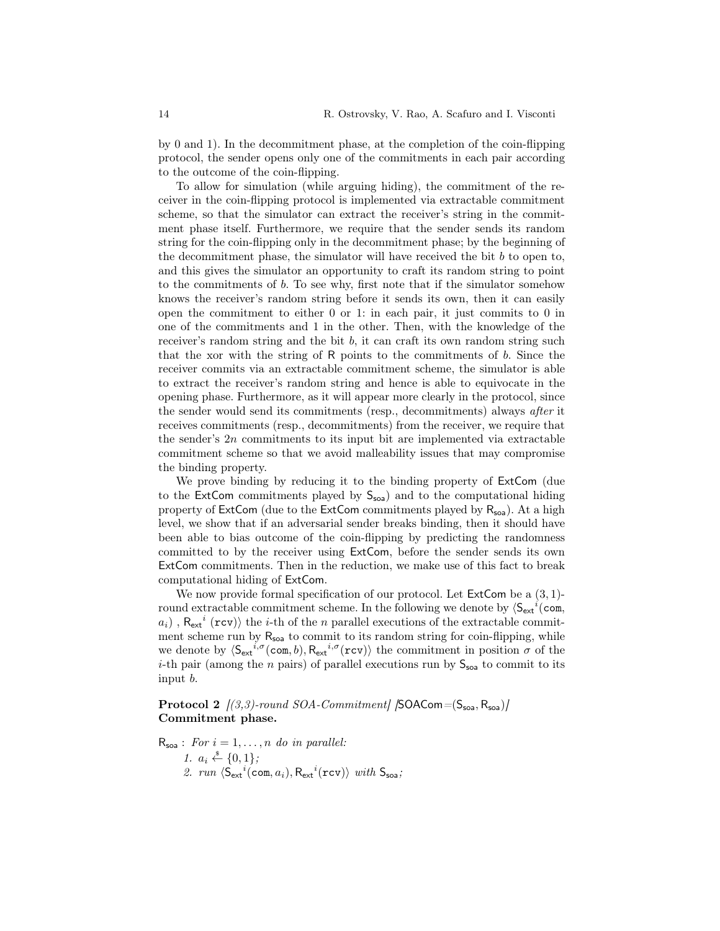by 0 and 1). In the decommitment phase, at the completion of the coin-flipping protocol, the sender opens only one of the commitments in each pair according to the outcome of the coin-flipping.

To allow for simulation (while arguing hiding), the commitment of the receiver in the coin-flipping protocol is implemented via extractable commitment scheme, so that the simulator can extract the receiver's string in the commitment phase itself. Furthermore, we require that the sender sends its random string for the coin-flipping only in the decommitment phase; by the beginning of the decommitment phase, the simulator will have received the bit  $b$  to open to, and this gives the simulator an opportunity to craft its random string to point to the commitments of b. To see why, first note that if the simulator somehow knows the receiver's random string before it sends its own, then it can easily open the commitment to either 0 or 1: in each pair, it just commits to 0 in one of the commitments and 1 in the other. Then, with the knowledge of the receiver's random string and the bit  $b$ , it can craft its own random string such that the xor with the string of R points to the commitments of b. Since the receiver commits via an extractable commitment scheme, the simulator is able to extract the receiver's random string and hence is able to equivocate in the opening phase. Furthermore, as it will appear more clearly in the protocol, since the sender would send its commitments (resp., decommitments) always after it receives commitments (resp., decommitments) from the receiver, we require that the sender's  $2n$  commitments to its input bit are implemented via extractable commitment scheme so that we avoid malleability issues that may compromise the binding property.

We prove binding by reducing it to the binding property of ExtCom (due to the ExtCom commitments played by  $S_{\text{soa}}$  and to the computational hiding property of ExtCom (due to the ExtCom commitments played by  $R_{\rm soa}$ ). At a high level, we show that if an adversarial sender breaks binding, then it should have been able to bias outcome of the coin-flipping by predicting the randomness committed to by the receiver using ExtCom, before the sender sends its own ExtCom commitments. Then in the reduction, we make use of this fact to break computational hiding of ExtCom.

We now provide formal specification of our protocol. Let  $ExtCom$  be a  $(3, 1)$ round extractable commitment scheme. In the following we denote by  $\langle S_{ext}^i$  com,  $a_i)$ ,  $\mathsf{R}_{\mathsf{ext}}^i$  (rcv)) the *i*-th of the *n* parallel executions of the extractable commitment scheme run by  $R_{s0a}$  to commit to its random string for coin-flipping, while we denote by  $\langle S_{ext}^{i,\sigma}(\text{com}, b), R_{ext}^{i,\sigma}(\text{rcv})\rangle$  the commitment in position  $\sigma$  of the *i*-th pair (among the *n* pairs) of parallel executions run by  $S_{\text{soa}}$  to commit to its input b.

**Protocol 2**  $[(3,3)$ -round SOA-Commitment]  $[SOACom=(S_{soa}, R_{soa})]$ Commitment phase.

 $R_{\text{soa}}$ : For  $i = 1, \ldots, n$  do in parallel: 1.  $a_i \stackrel{\$}{\leftarrow} \{0,1\};$ 2. run  $\langle \overline{S}_{ext}^i(\text{com}, a_i), \overline{R}_{ext}^i(\text{rcv})\rangle$  with  $S_{\text{soa}}$ ;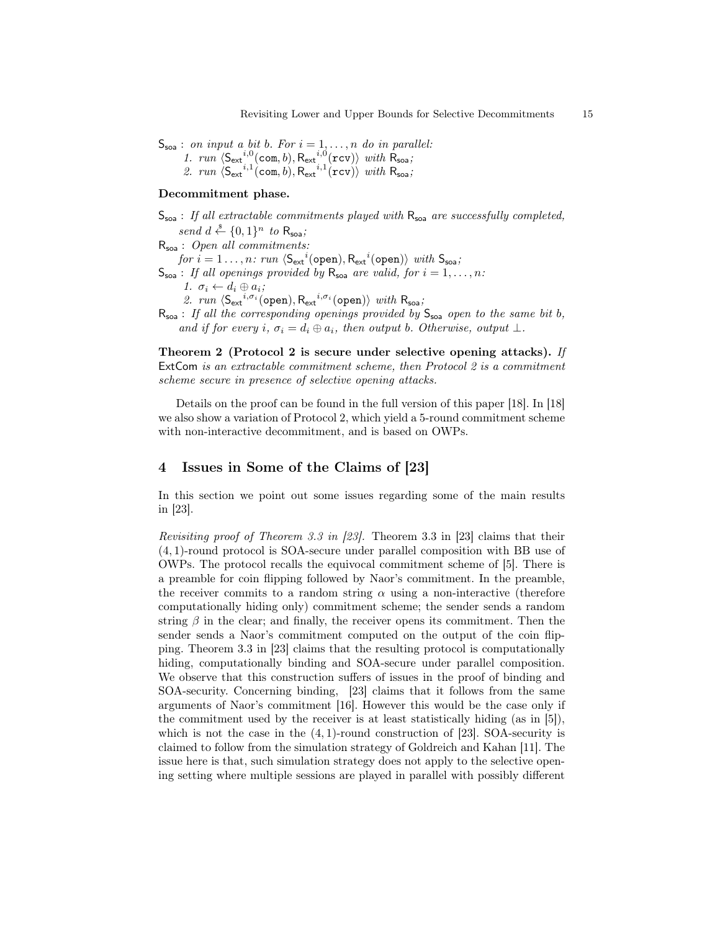$S_{\text{soa}}$ : on input a bit b. For  $i = 1, ..., n$  do in parallel:

1. run  $\langle S_{ext}^{i,0}(\text{com}, b), R_{ext}^{i,0}(\text{rcv})\rangle$  with  $R_{\text{soa}}$ ;

2. run  $\langle S_{ext}^{i,1}(\text{com}, b), R_{ext}^{i,1}(\text{rcv})\rangle$  with  $R_{\text{soa}}$ ;

# Decommitment phase.

 $S_{s_{0a}}$ : If all extractable commitments played with  $R_{s_{0a}}$  are successfully completed, send  $d \stackrel{\$}{\leftarrow} \{0,1\}^n$  to  $\mathsf{R}_{\mathsf{soa}}$ ;

Rsoa : Open all commitments:

 $\textit{for} \,\, i=1\ldots,n\colon \textit{run} \,\, \langle {\mathsf{S}_{\mathsf{ext}}}^i(\texttt{open}), {\mathsf{R}_{\mathsf{ext}}}^i(\texttt{open})\rangle\,\, \textit{with} \,\, {\mathsf{S}_{\mathsf{soa}}};$ 

 $S_{\text{soa}}$ : If all openings provided by  $R_{\text{soa}}$  are valid, for  $i = 1, \ldots, n$ : 1.  $\sigma_i \leftarrow d_i \oplus a_i;$ 

2. run  $\langle S_{ext}^{i,\sigma_i}(\text{open}), R_{ext}^{i,\sigma_i}(\text{open})\rangle$  with  $R_{\text{soa}}$ ;

 $R_{s_{0a}}$ : If all the corresponding openings provided by  $S_{s_{0a}}$  open to the same bit b, and if for every i,  $\sigma_i = d_i \oplus a_i$ , then output b. Otherwise, output  $\perp$ .

Theorem 2 (Protocol 2 is secure under selective opening attacks). If ExtCom is an extractable commitment scheme, then Protocol 2 is a commitment scheme secure in presence of selective opening attacks.

Details on the proof can be found in the full version of this paper [18]. In [18] we also show a variation of Protocol 2, which yield a 5-round commitment scheme with non-interactive decommitment, and is based on OWPs.

# 4 Issues in Some of the Claims of [23]

In this section we point out some issues regarding some of the main results in [23].

Revisiting proof of Theorem 3.3 in [23]. Theorem 3.3 in [23] claims that their (4, 1)-round protocol is SOA-secure under parallel composition with BB use of OWPs. The protocol recalls the equivocal commitment scheme of [5]. There is a preamble for coin flipping followed by Naor's commitment. In the preamble, the receiver commits to a random string  $\alpha$  using a non-interactive (therefore computationally hiding only) commitment scheme; the sender sends a random string  $\beta$  in the clear; and finally, the receiver opens its commitment. Then the sender sends a Naor's commitment computed on the output of the coin flipping. Theorem 3.3 in [23] claims that the resulting protocol is computationally hiding, computationally binding and SOA-secure under parallel composition. We observe that this construction suffers of issues in the proof of binding and SOA-security. Concerning binding, [23] claims that it follows from the same arguments of Naor's commitment [16]. However this would be the case only if the commitment used by the receiver is at least statistically hiding (as in [5]), which is not the case in the  $(4, 1)$ -round construction of [23]. SOA-security is claimed to follow from the simulation strategy of Goldreich and Kahan [11]. The issue here is that, such simulation strategy does not apply to the selective opening setting where multiple sessions are played in parallel with possibly different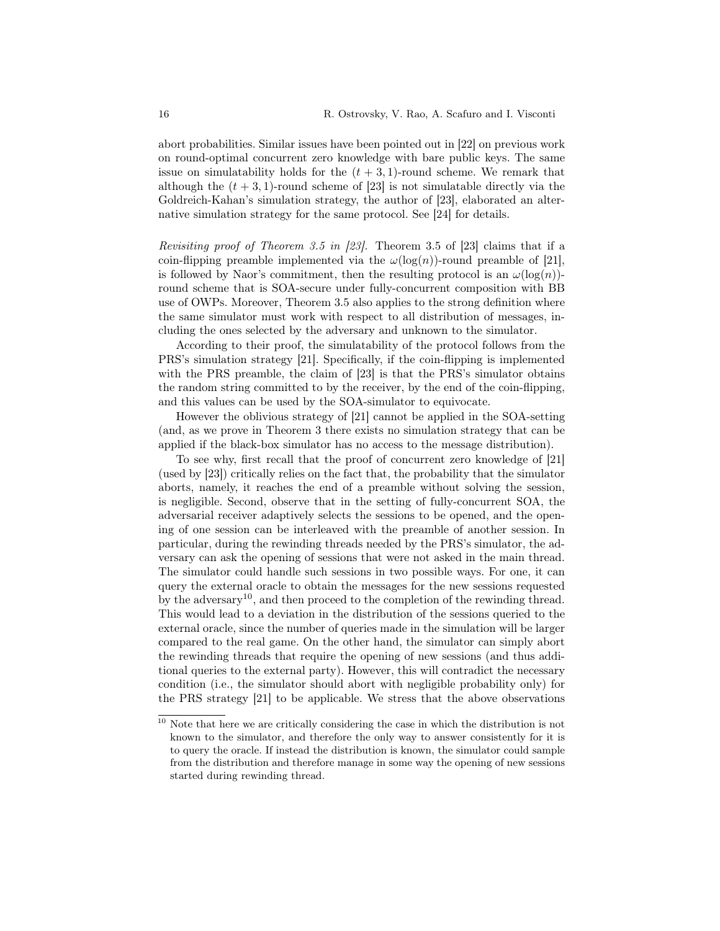abort probabilities. Similar issues have been pointed out in [22] on previous work on round-optimal concurrent zero knowledge with bare public keys. The same issue on simulatability holds for the  $(t + 3, 1)$ -round scheme. We remark that although the  $(t + 3, 1)$ -round scheme of [23] is not simulatable directly via the Goldreich-Kahan's simulation strategy, the author of [23], elaborated an alternative simulation strategy for the same protocol. See [24] for details.

Revisiting proof of Theorem 3.5 in [23]. Theorem 3.5 of [23] claims that if a coin-flipping preamble implemented via the  $\omega(\log(n))$ -round preamble of [21], is followed by Naor's commitment, then the resulting protocol is an  $\omega(\log(n))$ round scheme that is SOA-secure under fully-concurrent composition with BB use of OWPs. Moreover, Theorem 3.5 also applies to the strong definition where the same simulator must work with respect to all distribution of messages, including the ones selected by the adversary and unknown to the simulator.

According to their proof, the simulatability of the protocol follows from the PRS's simulation strategy [21]. Specifically, if the coin-flipping is implemented with the PRS preamble, the claim of [23] is that the PRS's simulator obtains the random string committed to by the receiver, by the end of the coin-flipping, and this values can be used by the SOA-simulator to equivocate.

However the oblivious strategy of [21] cannot be applied in the SOA-setting (and, as we prove in Theorem 3 there exists no simulation strategy that can be applied if the black-box simulator has no access to the message distribution).

To see why, first recall that the proof of concurrent zero knowledge of [21] (used by [23]) critically relies on the fact that, the probability that the simulator aborts, namely, it reaches the end of a preamble without solving the session, is negligible. Second, observe that in the setting of fully-concurrent SOA, the adversarial receiver adaptively selects the sessions to be opened, and the opening of one session can be interleaved with the preamble of another session. In particular, during the rewinding threads needed by the PRS's simulator, the adversary can ask the opening of sessions that were not asked in the main thread. The simulator could handle such sessions in two possible ways. For one, it can query the external oracle to obtain the messages for the new sessions requested by the adversary<sup>10</sup>, and then proceed to the completion of the rewinding thread. This would lead to a deviation in the distribution of the sessions queried to the external oracle, since the number of queries made in the simulation will be larger compared to the real game. On the other hand, the simulator can simply abort the rewinding threads that require the opening of new sessions (and thus additional queries to the external party). However, this will contradict the necessary condition (i.e., the simulator should abort with negligible probability only) for the PRS strategy [21] to be applicable. We stress that the above observations

 $10$  Note that here we are critically considering the case in which the distribution is not known to the simulator, and therefore the only way to answer consistently for it is to query the oracle. If instead the distribution is known, the simulator could sample from the distribution and therefore manage in some way the opening of new sessions started during rewinding thread.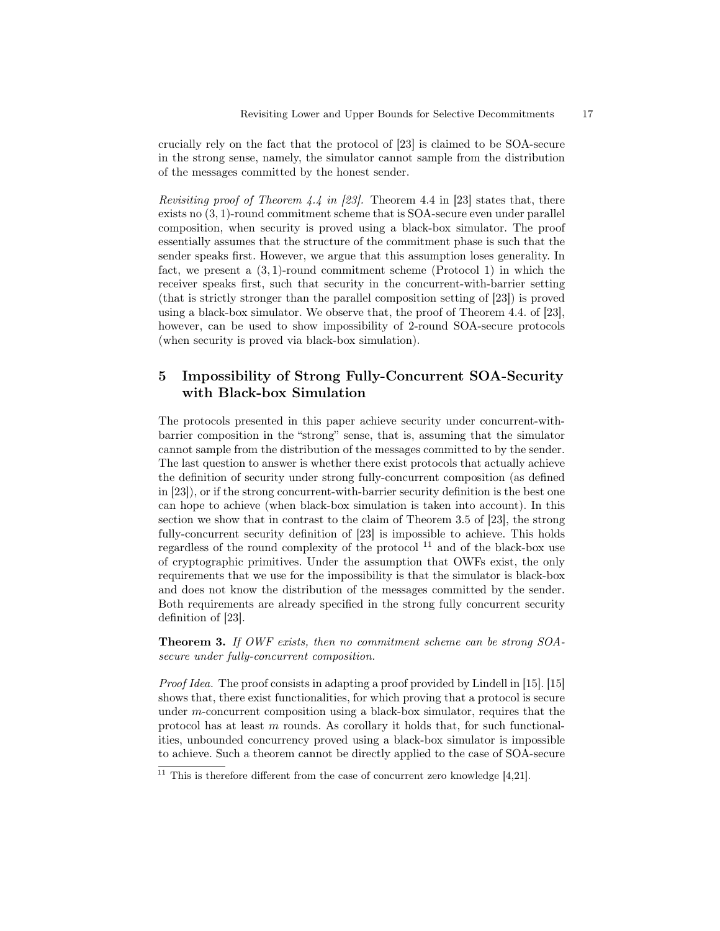crucially rely on the fact that the protocol of [23] is claimed to be SOA-secure in the strong sense, namely, the simulator cannot sample from the distribution of the messages committed by the honest sender.

Revisiting proof of Theorem 4.4 in [23]. Theorem 4.4 in [23] states that, there exists no (3, 1)-round commitment scheme that is SOA-secure even under parallel composition, when security is proved using a black-box simulator. The proof essentially assumes that the structure of the commitment phase is such that the sender speaks first. However, we argue that this assumption loses generality. In fact, we present a  $(3, 1)$ -round commitment scheme (Protocol 1) in which the receiver speaks first, such that security in the concurrent-with-barrier setting (that is strictly stronger than the parallel composition setting of [23]) is proved using a black-box simulator. We observe that, the proof of Theorem 4.4. of [23], however, can be used to show impossibility of 2-round SOA-secure protocols (when security is proved via black-box simulation).

# 5 Impossibility of Strong Fully-Concurrent SOA-Security with Black-box Simulation

The protocols presented in this paper achieve security under concurrent-withbarrier composition in the "strong" sense, that is, assuming that the simulator cannot sample from the distribution of the messages committed to by the sender. The last question to answer is whether there exist protocols that actually achieve the definition of security under strong fully-concurrent composition (as defined in [23]), or if the strong concurrent-with-barrier security definition is the best one can hope to achieve (when black-box simulation is taken into account). In this section we show that in contrast to the claim of Theorem 3.5 of [23], the strong fully-concurrent security definition of [23] is impossible to achieve. This holds regardless of the round complexity of the protocol  $11$  and of the black-box use of cryptographic primitives. Under the assumption that OWFs exist, the only requirements that we use for the impossibility is that the simulator is black-box and does not know the distribution of the messages committed by the sender. Both requirements are already specified in the strong fully concurrent security definition of [23].

Theorem 3. If OWF exists, then no commitment scheme can be strong SOAsecure under fully-concurrent composition.

Proof Idea. The proof consists in adapting a proof provided by Lindell in [15]. [15] shows that, there exist functionalities, for which proving that a protocol is secure under m-concurrent composition using a black-box simulator, requires that the protocol has at least  $m$  rounds. As corollary it holds that, for such functionalities, unbounded concurrency proved using a black-box simulator is impossible to achieve. Such a theorem cannot be directly applied to the case of SOA-secure

 $\frac{11}{11}$  This is therefore different from the case of concurrent zero knowledge [4,21].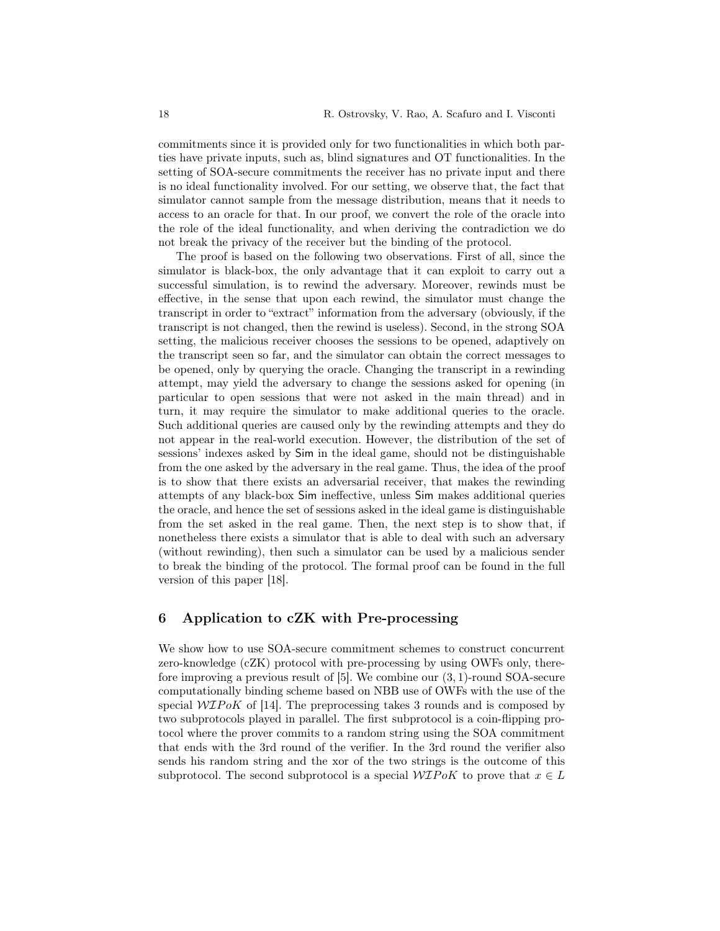commitments since it is provided only for two functionalities in which both parties have private inputs, such as, blind signatures and OT functionalities. In the setting of SOA-secure commitments the receiver has no private input and there is no ideal functionality involved. For our setting, we observe that, the fact that simulator cannot sample from the message distribution, means that it needs to access to an oracle for that. In our proof, we convert the role of the oracle into the role of the ideal functionality, and when deriving the contradiction we do not break the privacy of the receiver but the binding of the protocol.

The proof is based on the following two observations. First of all, since the simulator is black-box, the only advantage that it can exploit to carry out a successful simulation, is to rewind the adversary. Moreover, rewinds must be effective, in the sense that upon each rewind, the simulator must change the transcript in order to "extract" information from the adversary (obviously, if the transcript is not changed, then the rewind is useless). Second, in the strong SOA setting, the malicious receiver chooses the sessions to be opened, adaptively on the transcript seen so far, and the simulator can obtain the correct messages to be opened, only by querying the oracle. Changing the transcript in a rewinding attempt, may yield the adversary to change the sessions asked for opening (in particular to open sessions that were not asked in the main thread) and in turn, it may require the simulator to make additional queries to the oracle. Such additional queries are caused only by the rewinding attempts and they do not appear in the real-world execution. However, the distribution of the set of sessions' indexes asked by Sim in the ideal game, should not be distinguishable from the one asked by the adversary in the real game. Thus, the idea of the proof is to show that there exists an adversarial receiver, that makes the rewinding attempts of any black-box Sim ineffective, unless Sim makes additional queries the oracle, and hence the set of sessions asked in the ideal game is distinguishable from the set asked in the real game. Then, the next step is to show that, if nonetheless there exists a simulator that is able to deal with such an adversary (without rewinding), then such a simulator can be used by a malicious sender to break the binding of the protocol. The formal proof can be found in the full version of this paper [18].

# 6 Application to cZK with Pre-processing

We show how to use SOA-secure commitment schemes to construct concurrent zero-knowledge (cZK) protocol with pre-processing by using OWFs only, therefore improving a previous result of [5]. We combine our (3, 1)-round SOA-secure computationally binding scheme based on NBB use of OWFs with the use of the special  $W\mathcal{I}PoK$  of [14]. The preprocessing takes 3 rounds and is composed by two subprotocols played in parallel. The first subprotocol is a coin-flipping protocol where the prover commits to a random string using the SOA commitment that ends with the 3rd round of the verifier. In the 3rd round the verifier also sends his random string and the xor of the two strings is the outcome of this subprotocol. The second subprotocol is a special  $W\mathcal{I}PoK$  to prove that  $x \in L$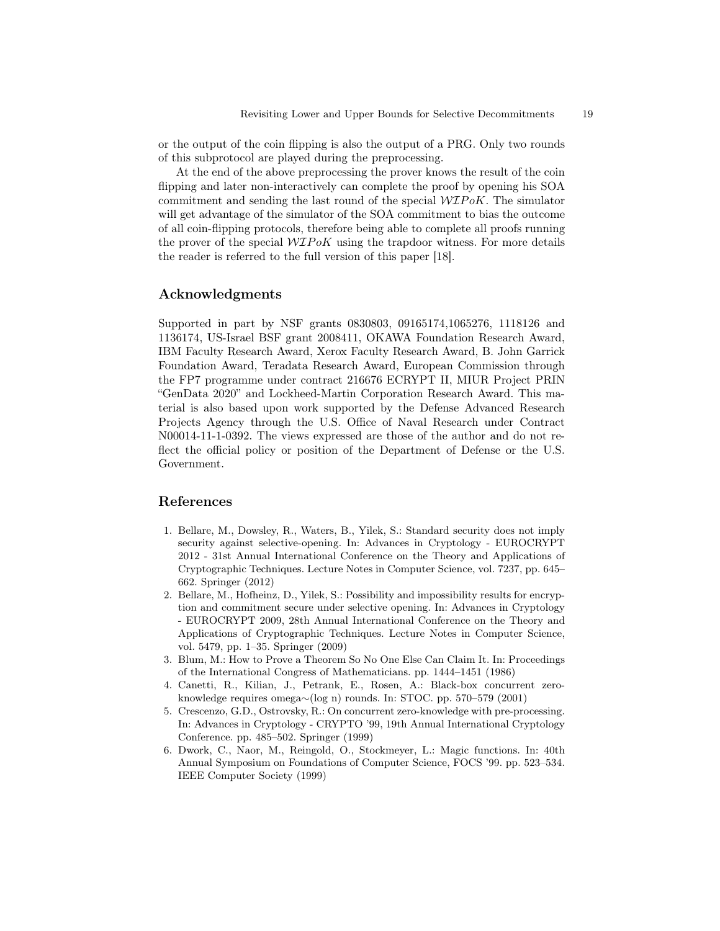or the output of the coin flipping is also the output of a PRG. Only two rounds of this subprotocol are played during the preprocessing.

At the end of the above preprocessing the prover knows the result of the coin flipping and later non-interactively can complete the proof by opening his SOA commitment and sending the last round of the special  $W\mathcal{I}PoK$ . The simulator will get advantage of the simulator of the SOA commitment to bias the outcome of all coin-flipping protocols, therefore being able to complete all proofs running the prover of the special  $W\mathcal{I}PoK$  using the trapdoor witness. For more details the reader is referred to the full version of this paper [18].

# Acknowledgments

Supported in part by NSF grants 0830803, 09165174,1065276, 1118126 and 1136174, US-Israel BSF grant 2008411, OKAWA Foundation Research Award, IBM Faculty Research Award, Xerox Faculty Research Award, B. John Garrick Foundation Award, Teradata Research Award, European Commission through the FP7 programme under contract 216676 ECRYPT II, MIUR Project PRIN "GenData 2020" and Lockheed-Martin Corporation Research Award. This material is also based upon work supported by the Defense Advanced Research Projects Agency through the U.S. Office of Naval Research under Contract N00014-11-1-0392. The views expressed are those of the author and do not reflect the official policy or position of the Department of Defense or the U.S. Government.

# References

- 1. Bellare, M., Dowsley, R., Waters, B., Yilek, S.: Standard security does not imply security against selective-opening. In: Advances in Cryptology - EUROCRYPT 2012 - 31st Annual International Conference on the Theory and Applications of Cryptographic Techniques. Lecture Notes in Computer Science, vol. 7237, pp. 645– 662. Springer (2012)
- 2. Bellare, M., Hofheinz, D., Yilek, S.: Possibility and impossibility results for encryption and commitment secure under selective opening. In: Advances in Cryptology - EUROCRYPT 2009, 28th Annual International Conference on the Theory and Applications of Cryptographic Techniques. Lecture Notes in Computer Science, vol. 5479, pp. 1–35. Springer (2009)
- 3. Blum, M.: How to Prove a Theorem So No One Else Can Claim It. In: Proceedings of the International Congress of Mathematicians. pp. 1444–1451 (1986)
- 4. Canetti, R., Kilian, J., Petrank, E., Rosen, A.: Black-box concurrent zeroknowledge requires omega∼(log n) rounds. In: STOC. pp. 570–579 (2001)
- 5. Crescenzo, G.D., Ostrovsky, R.: On concurrent zero-knowledge with pre-processing. In: Advances in Cryptology - CRYPTO '99, 19th Annual International Cryptology Conference. pp. 485–502. Springer (1999)
- 6. Dwork, C., Naor, M., Reingold, O., Stockmeyer, L.: Magic functions. In: 40th Annual Symposium on Foundations of Computer Science, FOCS '99. pp. 523–534. IEEE Computer Society (1999)